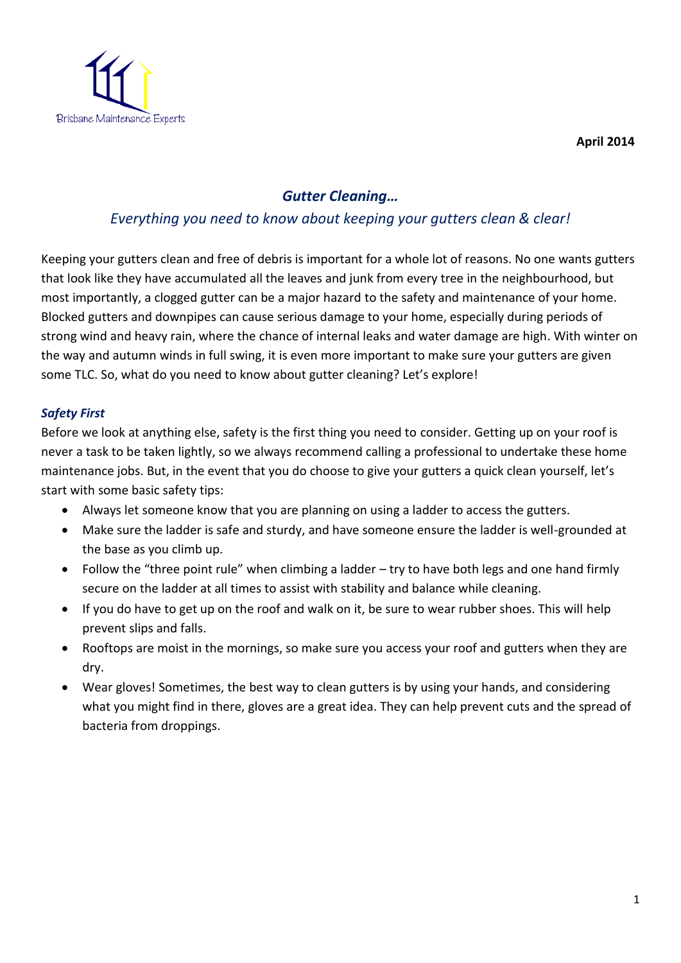

**April 2014** 

# *Gutter Cleaning…*

## *Everything you need to know about keeping your gutters clean & clear!*

Keeping your gutters clean and free of debris is important for a whole lot of reasons. No one wants gutters that look like they have accumulated all the leaves and junk from every tree in the neighbourhood, but most importantly, a clogged gutter can be a major hazard to the safety and maintenance of your home. Blocked gutters and downpipes can cause serious damage to your home, especially during periods of strong wind and heavy rain, where the chance of internal leaks and water damage are high. With winter on the way and autumn winds in full swing, it is even more important to make sure your gutters are given some TLC. So, what do you need to know about gutter cleaning? Let's explore!

## *Safety First*

Before we look at anything else, safety is the first thing you need to consider. Getting up on your roof is never a task to be taken lightly, so we always recommend calling a professional to undertake these home maintenance jobs. But, in the event that you do choose to give your gutters a quick clean yourself, let's start with some basic safety tips:

- Always let someone know that you are planning on using a ladder to access the gutters.
- Make sure the ladder is safe and sturdy, and have someone ensure the ladder is well-grounded at the base as you climb up.
- Follow the "three point rule" when climbing a ladder try to have both legs and one hand firmly secure on the ladder at all times to assist with stability and balance while cleaning.
- If you do have to get up on the roof and walk on it, be sure to wear rubber shoes. This will help prevent slips and falls.
- Rooftops are moist in the mornings, so make sure you access your roof and gutters when they are dry.
- Wear gloves! Sometimes, the best way to clean gutters is by using your hands, and considering what you might find in there, gloves are a great idea. They can help prevent cuts and the spread of bacteria from droppings.